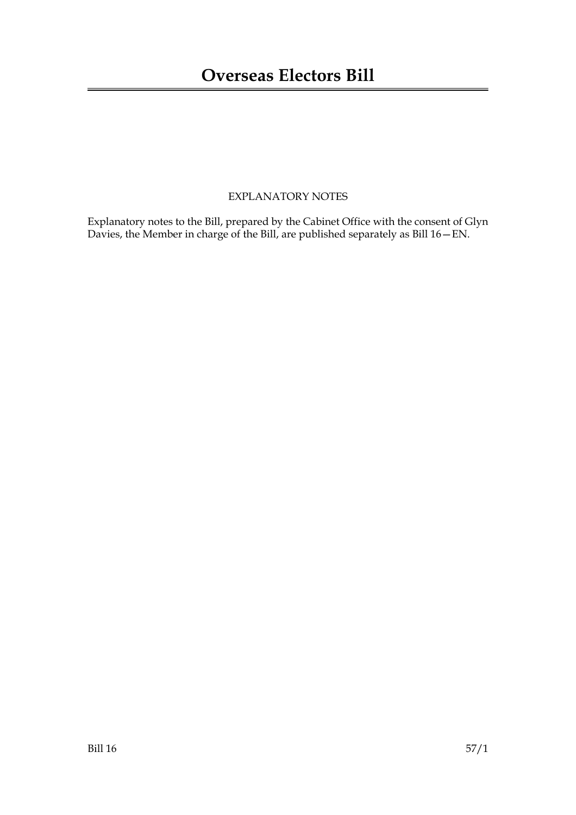### EXPLANATORY NOTES

Explanatory notes to the Bill, prepared by the Cabinet Office with the consent of Glyn Davies, the Member in charge of the Bill, are published separately as Bill 16—EN.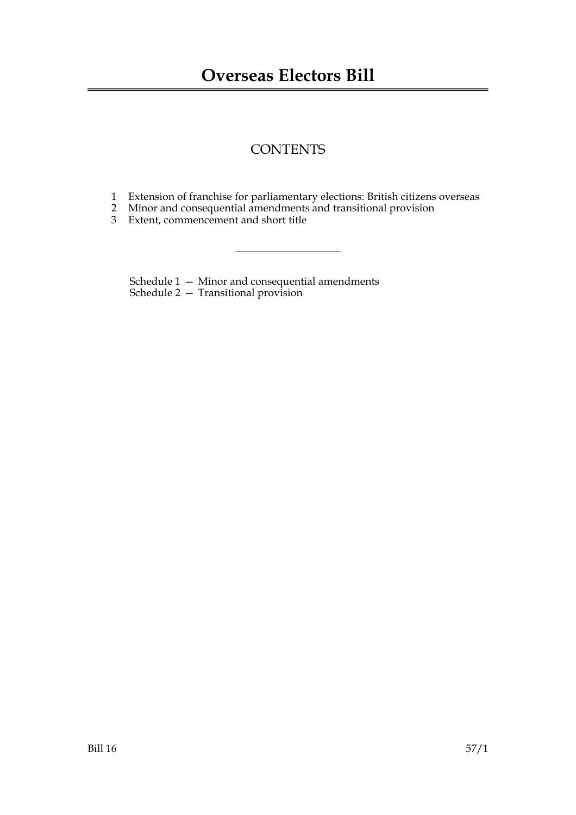## **CONTENTS**

- 1 Extension of franchise for parliamentary elections: British citizens overseas
- 2 Minor and consequential amendments and transitional provision
- 3 Extent, commencement and short title

Schedule 1 — Minor and consequential amendments Schedule 2 — Transitional provision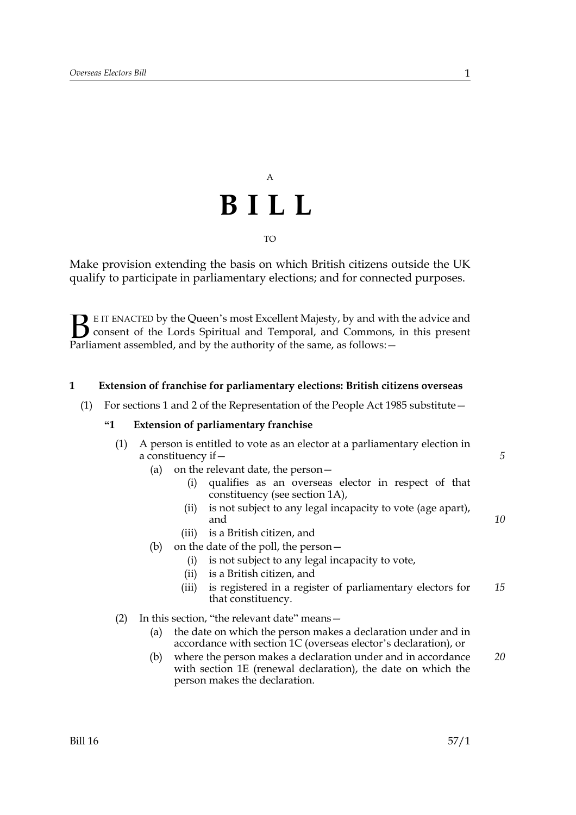# A **BILL** TO

Make provision extending the basis on which British citizens outside the UK qualify to participate in parliamentary elections; and for connected purposes.

E IT ENACTED by the Queen's most Excellent Majesty, by and with the advice and<br>consent of the Lords Spiritual and Temporal, and Commons, in this present<br>Parliament assembled, and by the authority of the same, as follows: consent of the Lords Spiritual and Temporal, and Commons, in this present Parliament assembled, and by the authority of the same, as follows: -

#### **1 Extension of franchise for parliamentary elections: British citizens overseas**

(1) For sections 1 and 2 of the Representation of the People Act 1985 substitute—

#### **"1 Extension of parliamentary franchise**

| (1) A person is entitled to vote as an elector at a parliamentary election in |
|-------------------------------------------------------------------------------|
| a constituency if –                                                           |

- (a) on the relevant date, the person—
	- (i) qualifies as an overseas elector in respect of that constituency (see section 1A),
	- (ii) is not subject to any legal incapacity to vote (age apart), and
	- (iii) is a British citizen, and
- (b) on the date of the poll, the person—
	- (i) is not subject to any legal incapacity to vote,
	- (ii) is a British citizen, and
	- (iii) is registered in a register of parliamentary electors for that constituency. *15*
- (2) In this section, "the relevant date" means—
	- (a) the date on which the person makes a declaration under and in accordance with section 1C (overseas elector's declaration), or
	- (b) where the person makes a declaration under and in accordance with section 1E (renewal declaration), the date on which the person makes the declaration. *20*

*5*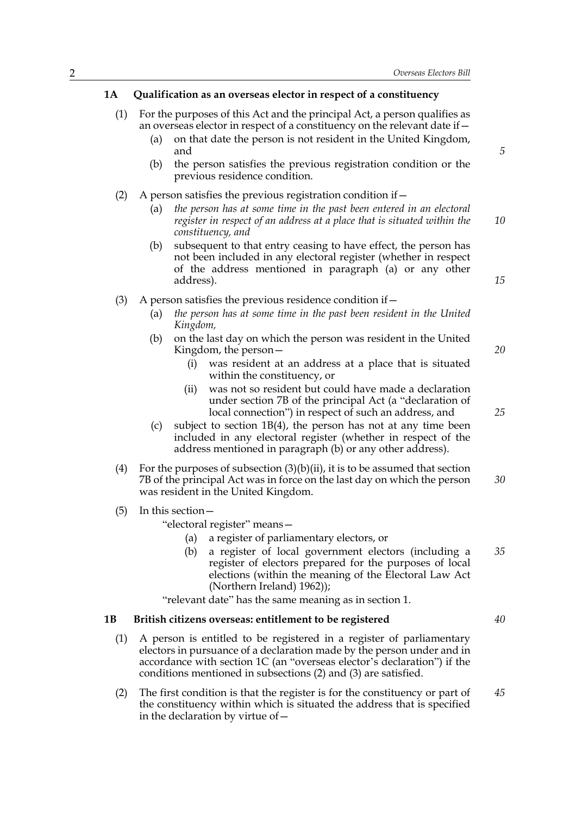#### **1A Qualification as an overseas elector in respect of a constituency**

- (1) For the purposes of this Act and the principal Act, a person qualifies as an overseas elector in respect of a constituency on the relevant date if—
	- (a) on that date the person is not resident in the United Kingdom, and
	- (b) the person satisfies the previous registration condition or the previous residence condition.
- (2) A person satisfies the previous registration condition if  $-$ 
	- (a) *the person has at some time in the past been entered in an electoral register in respect of an address at a place that is situated within the constituency, and 10*
	- (b) subsequent to that entry ceasing to have effect, the person has not been included in any electoral register (whether in respect of the address mentioned in paragraph (a) or any other address).
- (3) A person satisfies the previous residence condition if  $-$ 
	- (a) *the person has at some time in the past been resident in the United Kingdom,*
	- (b) on the last day on which the person was resident in the United Kingdom, the person—
		- (i) was resident at an address at a place that is situated within the constituency, or
		- (ii) was not so resident but could have made a declaration under section 7B of the principal Act (a "declaration of local connection") in respect of such an address, and
	- (c) subject to section 1B(4), the person has not at any time been included in any electoral register (whether in respect of the address mentioned in paragraph (b) or any other address).
- (4) For the purposes of subsection  $(3)(b)(ii)$ , it is to be assumed that section 7B of the principal Act was in force on the last day on which the person was resident in the United Kingdom. *30*
- (5) In this section—

"electoral register" means—

- (a) a register of parliamentary electors, or
- (b) a register of local government electors (including a register of electors prepared for the purposes of local elections (within the meaning of the Electoral Law Act (Northern Ireland) 1962)); *35*

"relevant date" has the same meaning as in section 1.

#### **1B British citizens overseas: entitlement to be registered**

- (1) A person is entitled to be registered in a register of parliamentary electors in pursuance of a declaration made by the person under and in accordance with section 1C (an "overseas elector's declaration") if the conditions mentioned in subsections (2) and (3) are satisfied.
- (2) The first condition is that the register is for the constituency or part of the constituency within which is situated the address that is specified in the declaration by virtue of— *45*

*15*

*5*

*25*

*40*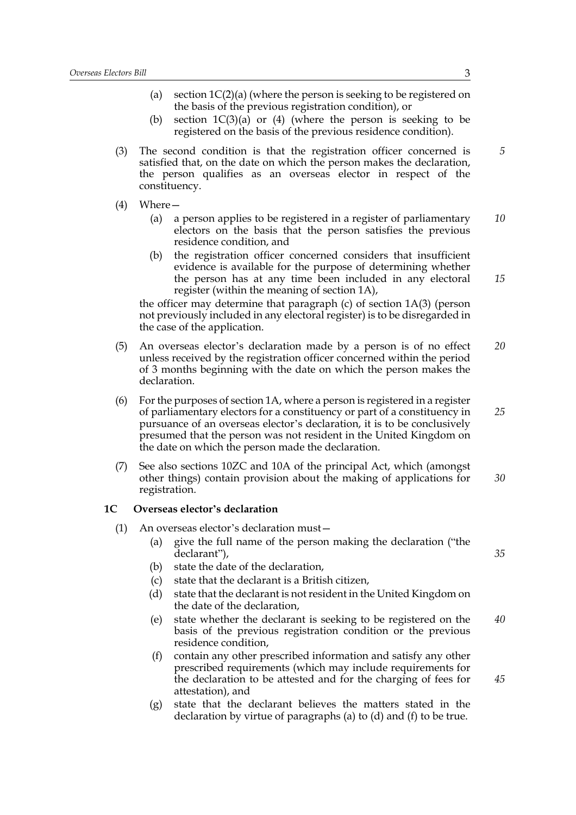- (a) section  $1C(2)(a)$  (where the person is seeking to be registered on the basis of the previous registration condition), or
- (b) section  $1C(3)(a)$  or (4) (where the person is seeking to be registered on the basis of the previous residence condition).
- (3) The second condition is that the registration officer concerned is satisfied that, on the date on which the person makes the declaration, the person qualifies as an overseas elector in respect of the constituency.
- (4) Where—
	- (a) a person applies to be registered in a register of parliamentary electors on the basis that the person satisfies the previous residence condition, and *10*
	- (b) the registration officer concerned considers that insufficient evidence is available for the purpose of determining whether the person has at any time been included in any electoral register (within the meaning of section 1A),

the officer may determine that paragraph (c) of section 1A(3) (person not previously included in any electoral register) is to be disregarded in the case of the application.

- (5) An overseas elector's declaration made by a person is of no effect unless received by the registration officer concerned within the period of 3 months beginning with the date on which the person makes the declaration. *20*
- (6) For the purposes of section 1A, where a person is registered in a register of parliamentary electors for a constituency or part of a constituency in pursuance of an overseas elector's declaration, it is to be conclusively presumed that the person was not resident in the United Kingdom on the date on which the person made the declaration. *25*
- (7) See also sections 10ZC and 10A of the principal Act, which (amongst other things) contain provision about the making of applications for registration. *30*

#### **1C Overseas elector's declaration**

(1) An overseas elector's declaration must—

- (a) give the full name of the person making the declaration ("the declarant"),
- (b) state the date of the declaration,
- (c) state that the declarant is a British citizen,
- (d) state that the declarant is not resident in the United Kingdom on the date of the declaration,
- (e) state whether the declarant is seeking to be registered on the basis of the previous registration condition or the previous residence condition, *40*
- (f) contain any other prescribed information and satisfy any other prescribed requirements (which may include requirements for the declaration to be attested and for the charging of fees for attestation), and
- (g) state that the declarant believes the matters stated in the declaration by virtue of paragraphs (a) to (d) and (f) to be true.

*5*

*15*

*35*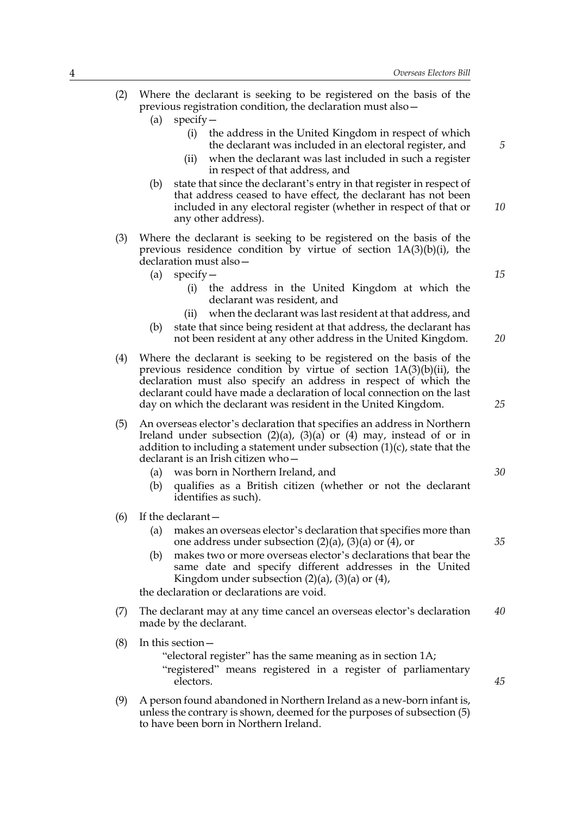- (2) Where the declarant is seeking to be registered on the basis of the previous registration condition, the declaration must also—
	- (a) specify—
		- (i) the address in the United Kingdom in respect of which the declarant was included in an electoral register, and
		- (ii) when the declarant was last included in such a register in respect of that address, and
	- (b) state that since the declarant's entry in that register in respect of that address ceased to have effect, the declarant has not been included in any electoral register (whether in respect of that or any other address). *10*
- (3) Where the declarant is seeking to be registered on the basis of the previous residence condition by virtue of section 1A(3)(b)(i), the declaration must also—
	- (a) specify—
		- (i) the address in the United Kingdom at which the declarant was resident, and
		- (ii) when the declarant was last resident at that address, and
	- (b) state that since being resident at that address, the declarant has not been resident at any other address in the United Kingdom.
- (4) Where the declarant is seeking to be registered on the basis of the previous residence condition by virtue of section 1A(3)(b)(ii), the declaration must also specify an address in respect of which the declarant could have made a declaration of local connection on the last day on which the declarant was resident in the United Kingdom.
- (5) An overseas elector's declaration that specifies an address in Northern Ireland under subsection  $(2)(a)$ ,  $(3)(a)$  or  $(4)$  may, instead of or in addition to including a statement under subsection  $(1)(c)$ , state that the declarant is an Irish citizen who—
	- (a) was born in Northern Ireland, and
	- (b) qualifies as a British citizen (whether or not the declarant identifies as such).
- (6) If the declarant—
	- (a) makes an overseas elector's declaration that specifies more than one address under subsection  $(2)(a)$ ,  $(3)(a)$  or  $(4)$ , or
	- (b) makes two or more overseas elector's declarations that bear the same date and specify different addresses in the United Kingdom under subsection  $(2)(a)$ ,  $(3)(a)$  or  $(4)$ ,

the declaration or declarations are void.

- (7) The declarant may at any time cancel an overseas elector's declaration made by the declarant. *40*
- (8) In this section—

"electoral register" has the same meaning as in section 1A; "registered" means registered in a register of parliamentary electors.

(9) A person found abandoned in Northern Ireland as a new-born infant is, unless the contrary is shown, deemed for the purposes of subsection (5) to have been born in Northern Ireland.

*20*

*15*

*5*

*25*

*30*

*35*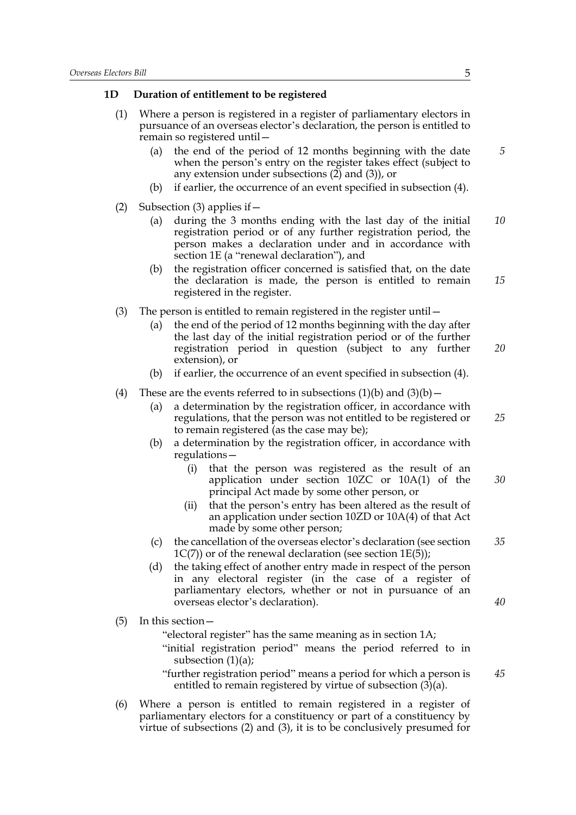#### **1D Duration of entitlement to be registered**

- (1) Where a person is registered in a register of parliamentary electors in pursuance of an overseas elector's declaration, the person is entitled to remain so registered until—
	- (a) the end of the period of 12 months beginning with the date when the person's entry on the register takes effect (subject to any extension under subsections (2) and (3)), or
	- (b) if earlier, the occurrence of an event specified in subsection (4).
- (2) Subsection (3) applies if  $-$ 
	- (a) during the 3 months ending with the last day of the initial registration period or of any further registration period, the person makes a declaration under and in accordance with section 1E (a "renewal declaration"), and *10*
	- (b) the registration officer concerned is satisfied that, on the date the declaration is made, the person is entitled to remain registered in the register.
- (3) The person is entitled to remain registered in the register until—
	- (a) the end of the period of 12 months beginning with the day after the last day of the initial registration period or of the further registration period in question (subject to any further extension), or *20*
	- (b) if earlier, the occurrence of an event specified in subsection (4).
- (4) These are the events referred to in subsections  $(1)(b)$  and  $(3)(b)$  -
	- (a) a determination by the registration officer, in accordance with regulations, that the person was not entitled to be registered or to remain registered (as the case may be);
	- (b) a determination by the registration officer, in accordance with regulations—
		- (i) that the person was registered as the result of an application under section 10ZC or 10A(1) of the principal Act made by some other person, or *30*
		- (ii) that the person's entry has been altered as the result of an application under section 10ZD or 10A(4) of that Act made by some other person;
	- (c) the cancellation of the overseas elector's declaration (see section  $1C(7)$ ) or of the renewal declaration (see section  $1E(5)$ ); *35*
	- (d) the taking effect of another entry made in respect of the person in any electoral register (in the case of a register of parliamentary electors, whether or not in pursuance of an overseas elector's declaration).
- (5) In this section—

"electoral register" has the same meaning as in section 1A;

- "initial registration period" means the period referred to in subsection  $(1)(a)$ ;
- "further registration period" means a period for which a person is entitled to remain registered by virtue of subsection  $(3)(a)$ . *45*
- (6) Where a person is entitled to remain registered in a register of parliamentary electors for a constituency or part of a constituency by virtue of subsections (2) and (3), it is to be conclusively presumed for

*5*

*15*

*25*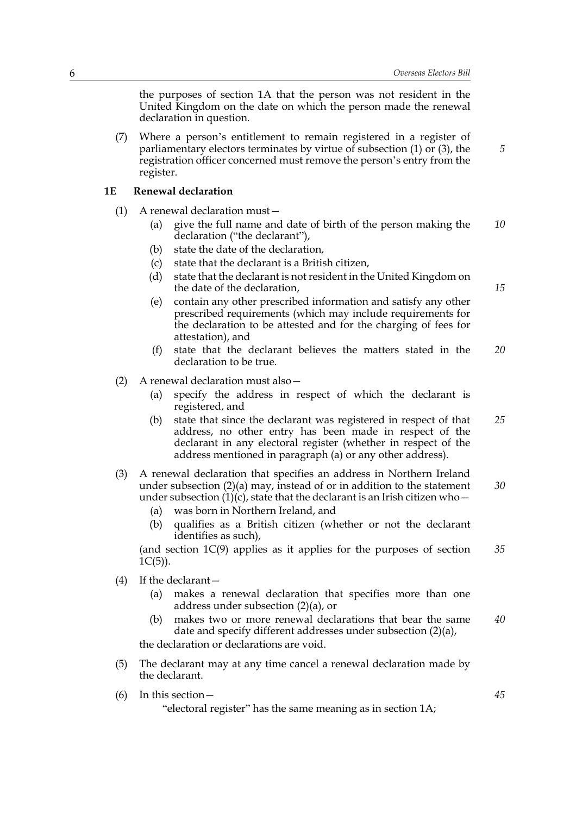*5*

*15*

the purposes of section 1A that the person was not resident in the United Kingdom on the date on which the person made the renewal declaration in question.

(7) Where a person's entitlement to remain registered in a register of parliamentary electors terminates by virtue of subsection (1) or (3), the registration officer concerned must remove the person's entry from the register.

#### **1E Renewal declaration**

- (1) A renewal declaration must—
	- (a) give the full name and date of birth of the person making the declaration ("the declarant"), *10*
	- (b) state the date of the declaration,
	- (c) state that the declarant is a British citizen,
	- (d) state that the declarant is not resident in the United Kingdom on the date of the declaration,

(e) contain any other prescribed information and satisfy any other prescribed requirements (which may include requirements for the declaration to be attested and for the charging of fees for attestation), and

- (f) state that the declarant believes the matters stated in the declaration to be true. *20*
- (2) A renewal declaration must also—
	- (a) specify the address in respect of which the declarant is registered, and
	- (b) state that since the declarant was registered in respect of that address, no other entry has been made in respect of the declarant in any electoral register (whether in respect of the address mentioned in paragraph (a) or any other address). *25*
- (3) A renewal declaration that specifies an address in Northern Ireland under subsection (2)(a) may, instead of or in addition to the statement under subsection  $(1)(c)$ , state that the declarant is an Irish citizen who – *30*
	- (a) was born in Northern Ireland, and
	- (b) qualifies as a British citizen (whether or not the declarant identifies as such),

(and section  $1C(9)$  applies as it applies for the purposes of section  $1C(5)$ ). *35*

- (4) If the declarant—
	- (a) makes a renewal declaration that specifies more than one address under subsection (2)(a), or
	- (b) makes two or more renewal declarations that bear the same date and specify different addresses under subsection (2)(a), *40*

the declaration or declarations are void.

- (5) The declarant may at any time cancel a renewal declaration made by the declarant.
- (6) In this section—

"electoral register" has the same meaning as in section 1A;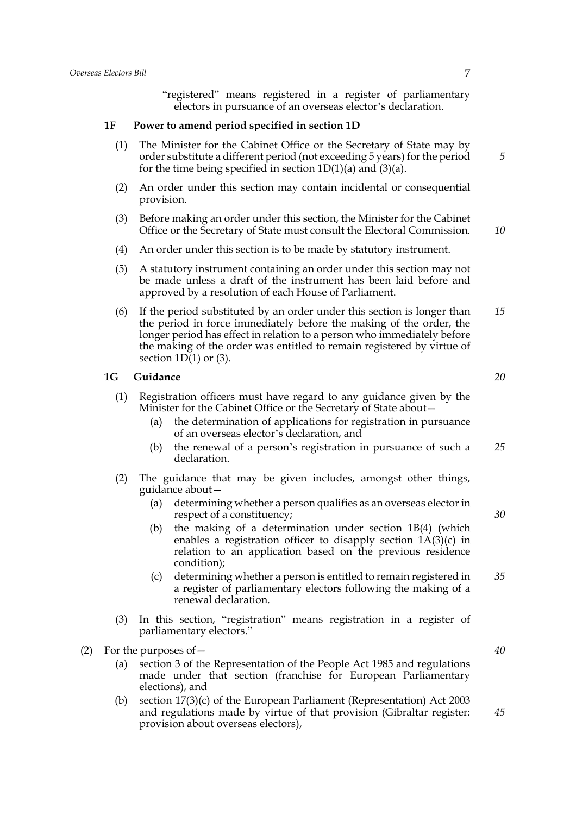"registered" means registered in a register of parliamentary electors in pursuance of an overseas elector's declaration.

#### **1F Power to amend period specified in section 1D**

- (1) The Minister for the Cabinet Office or the Secretary of State may by order substitute a different period (not exceeding 5 years) for the period for the time being specified in section  $1D(1)(a)$  and  $(3)(a)$ .
- (2) An order under this section may contain incidental or consequential provision.
- (3) Before making an order under this section, the Minister for the Cabinet Office or the Secretary of State must consult the Electoral Commission. *10*
- (4) An order under this section is to be made by statutory instrument.
- (5) A statutory instrument containing an order under this section may not be made unless a draft of the instrument has been laid before and approved by a resolution of each House of Parliament.
- (6) If the period substituted by an order under this section is longer than the period in force immediately before the making of the order, the longer period has effect in relation to a person who immediately before the making of the order was entitled to remain registered by virtue of section  $1D(1)$  or  $(3)$ . *15*

#### **1G Guidance**

- (1) Registration officers must have regard to any guidance given by the Minister for the Cabinet Office or the Secretary of State about—
	- (a) the determination of applications for registration in pursuance of an overseas elector's declaration, and
	- (b) the renewal of a person's registration in pursuance of such a declaration. *25*
- (2) The guidance that may be given includes, amongst other things, guidance about—
	- (a) determining whether a person qualifies as an overseas elector in respect of a constituency;
	- (b) the making of a determination under section 1B(4) (which enables a registration officer to disapply section 1A(3)(c) in relation to an application based on the previous residence condition);
	- (c) determining whether a person is entitled to remain registered in a register of parliamentary electors following the making of a renewal declaration. *35*
- (3) In this section, "registration" means registration in a register of parliamentary electors."
- (2) For the purposes of—
	- (a) section 3 of the Representation of the People Act 1985 and regulations made under that section (franchise for European Parliamentary elections), and
	- (b) section 17(3)(c) of the European Parliament (Representation) Act 2003 and regulations made by virtue of that provision (Gibraltar register: provision about overseas electors),

*5*

*20*

*30*

*40*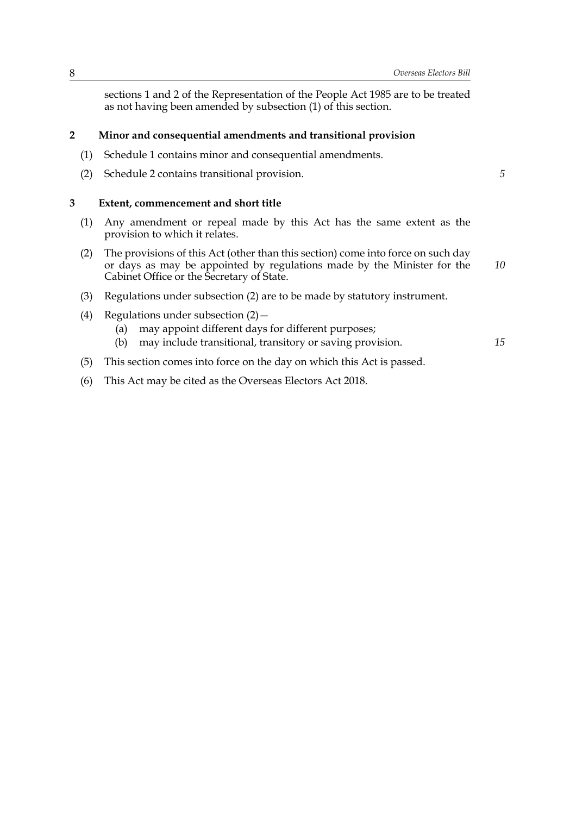sections 1 and 2 of the Representation of the People Act 1985 are to be treated as not having been amended by subsection (1) of this section.

#### **2 Minor and consequential amendments and transitional provision**

- (1) Schedule 1 contains minor and consequential amendments.
- (2) Schedule 2 contains transitional provision.

#### **3 Extent, commencement and short title**

- (1) Any amendment or repeal made by this Act has the same extent as the provision to which it relates.
- (2) The provisions of this Act (other than this section) come into force on such day or days as may be appointed by regulations made by the Minister for the Cabinet Office or the Secretary of State. *10*
- (3) Regulations under subsection (2) are to be made by statutory instrument.
- (4) Regulations under subsection (2)—
	- (a) may appoint different days for different purposes;
	- (b) may include transitional, transitory or saving provision. *15*
- (5) This section comes into force on the day on which this Act is passed.
- (6) This Act may be cited as the Overseas Electors Act 2018.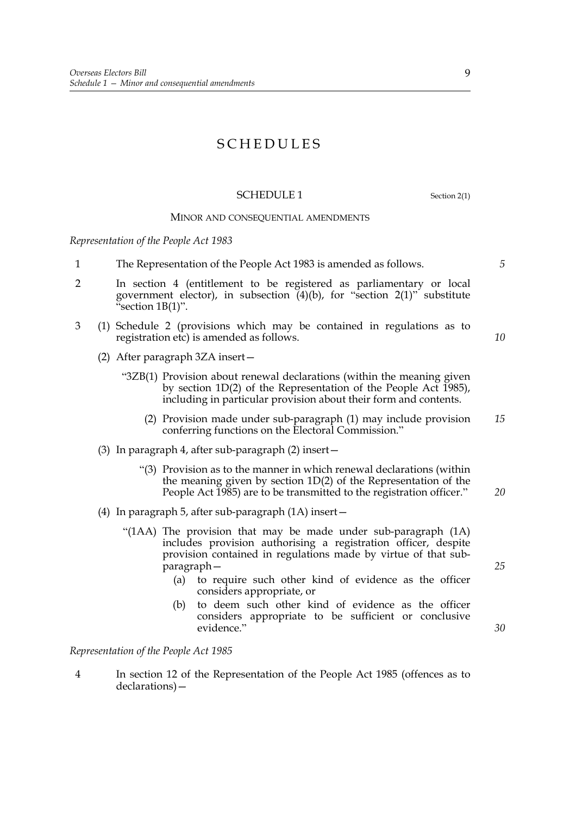### SCHEDULES

#### SCHEDULE 1 Section 2(1)

#### MINOR AND CONSEQUENTIAL AMENDMENTS

*Representation of the People Act 1983*

- 1 The Representation of the People Act 1983 is amended as follows.
- 2 In section 4 (entitlement to be registered as parliamentary or local government elector), in subsection  $(4)(b)$ , for "section 2(1)" substitute "section 1B(1)".
- 3 (1) Schedule 2 (provisions which may be contained in regulations as to registration etc) is amended as follows.
	- (2) After paragraph 3ZA insert—
		- "3ZB(1) Provision about renewal declarations (within the meaning given by section 1D(2) of the Representation of the People Act 1985), including in particular provision about their form and contents.
			- (2) Provision made under sub-paragraph (1) may include provision conferring functions on the Electoral Commission." *15*
	- (3) In paragraph 4, after sub-paragraph (2) insert—
		- "(3) Provision as to the manner in which renewal declarations (within the meaning given by section 1D(2) of the Representation of the People Act 1985) are to be transmitted to the registration officer." *20*
	- (4) In paragraph 5, after sub-paragraph (1A) insert—
		- "(1AA) The provision that may be made under sub-paragraph (1A) includes provision authorising a registration officer, despite provision contained in regulations made by virtue of that subparagraph—
			- (a) to require such other kind of evidence as the officer considers appropriate, or
			- (b) to deem such other kind of evidence as the officer considers appropriate to be sufficient or conclusive evidence."

*Representation of the People Act 1985*

4 In section 12 of the Representation of the People Act 1985 (offences as to declarations)—

*25*

*30*

*5*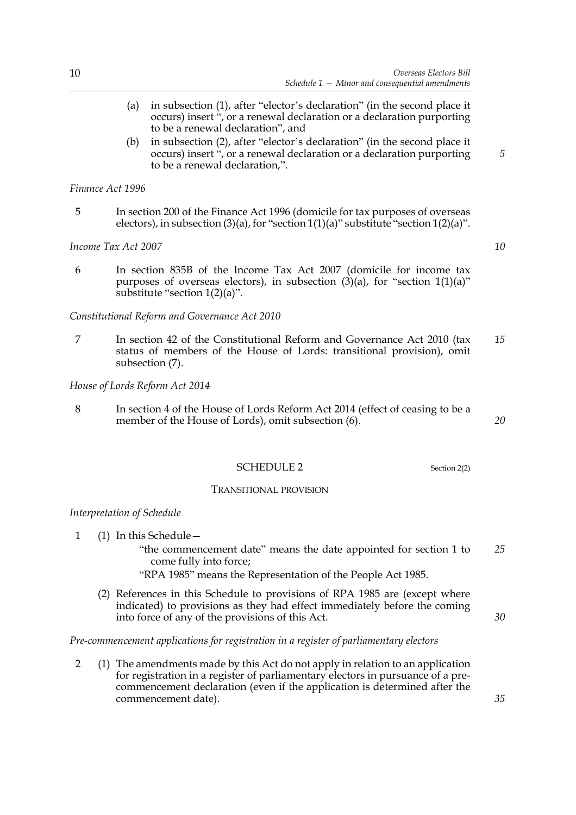- (a) in subsection (1), after "elector's declaration" (in the second place it occurs) insert ", or a renewal declaration or a declaration purporting to be a renewal declaration", and
- (b) in subsection (2), after "elector's declaration" (in the second place it occurs) insert ", or a renewal declaration or a declaration purporting to be a renewal declaration,".

*Finance Act 1996*

5 In section 200 of the Finance Act 1996 (domicile for tax purposes of overseas electors), in subsection  $(3)(a)$ , for "section  $1(1)(a)$ " substitute "section  $1(2)(a)$ ".

*Income Tax Act 2007*

6 In section 835B of the Income Tax Act 2007 (domicile for income tax purposes of overseas electors), in subsection  $(3)(a)$ , for "section 1(1)(a)" substitute "section 1(2)(a)".

*Constitutional Reform and Governance Act 2010*

7 In section 42 of the Constitutional Reform and Governance Act 2010 (tax status of members of the House of Lords: transitional provision), omit subsection (7). *15*

*House of Lords Reform Act 2014*

8 In section 4 of the House of Lords Reform Act 2014 (effect of ceasing to be a member of the House of Lords), omit subsection (6).

#### SCHEDULE 2 Section 2(2)

#### TRANSITIONAL PROVISION

#### *Interpretation of Schedule*

- 1 (1) In this Schedule—
	- "the commencement date" means the date appointed for section 1 to come fully into force; *25*
	- "RPA 1985" means the Representation of the People Act 1985.
	- (2) References in this Schedule to provisions of RPA 1985 are (except where indicated) to provisions as they had effect immediately before the coming into force of any of the provisions of this Act.

*Pre-commencement applications for registration in a register of parliamentary electors*

2 (1) The amendments made by this Act do not apply in relation to an application for registration in a register of parliamentary electors in pursuance of a precommencement declaration (even if the application is determined after the commencement date).

*10*

*5*

*20*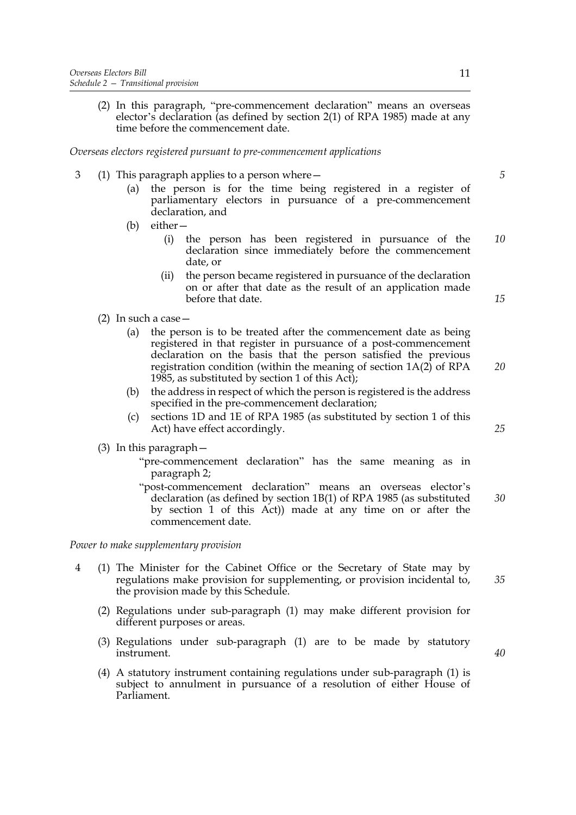(2) In this paragraph, "pre-commencement declaration" means an overseas elector's declaration (as defined by section 2(1) of RPA 1985) made at any time before the commencement date.

*Overseas electors registered pursuant to pre-commencement applications*

- 3 (1) This paragraph applies to a person where—
	- (a) the person is for the time being registered in a register of parliamentary electors in pursuance of a pre-commencement declaration, and
	- (b) either—
		- (i) the person has been registered in pursuance of the declaration since immediately before the commencement date, or *10*
		- (ii) the person became registered in pursuance of the declaration on or after that date as the result of an application made before that date.
	- (2) In such a case—
		- (a) the person is to be treated after the commencement date as being registered in that register in pursuance of a post-commencement declaration on the basis that the person satisfied the previous registration condition (within the meaning of section 1A(2) of RPA 1985, as substituted by section 1 of this Act);
		- (b) the address in respect of which the person is registered is the address specified in the pre-commencement declaration;
		- (c) sections 1D and 1E of RPA 1985 (as substituted by section 1 of this Act) have effect accordingly.
	- (3) In this paragraph—
		- "pre-commencement declaration" has the same meaning as in paragraph 2;
		- "post-commencement declaration" means an overseas elector's declaration (as defined by section 1B(1) of RPA 1985 (as substituted by section 1 of this Act)) made at any time on or after the commencement date. *30*

*Power to make supplementary provision*

- 4 (1) The Minister for the Cabinet Office or the Secretary of State may by regulations make provision for supplementing, or provision incidental to, the provision made by this Schedule.
	- (2) Regulations under sub-paragraph (1) may make different provision for different purposes or areas.
	- (3) Regulations under sub-paragraph (1) are to be made by statutory instrument.
	- (4) A statutory instrument containing regulations under sub-paragraph (1) is subject to annulment in pursuance of a resolution of either House of Parliament.

*40*

*35*

*25*

*20*

*15*